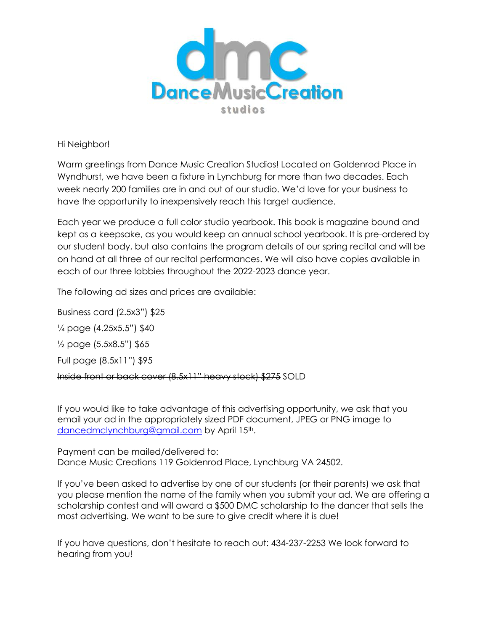

Hi Neighbor!

Warm greetings from Dance Music Creation Studios! Located on Goldenrod Place in Wyndhurst, we have been a fixture in Lynchburg for more than two decades. Each week nearly 200 families are in and out of our studio. We'd love for your business to have the opportunity to inexpensively reach this target audience.

Each year we produce a full color studio yearbook. This book is magazine bound and kept as a keepsake, as you would keep an annual school yearbook. It is pre-ordered by our student body, but also contains the program details of our spring recital and will be on hand at all three of our recital performances. We will also have copies available in each of our three lobbies throughout the 2022-2023 dance year.

The following ad sizes and prices are available:

Business card (2.5x3") \$25

¼ page (4.25x5.5") \$40

 $\frac{1}{2}$  page (5.5x8.5") \$65

Full page (8.5x11") \$95

Inside front or back cover (8.5x11" heavy stock) \$275 SOLD

If you would like to take advantage of this advertising opportunity, we ask that you email your ad in the appropriately sized PDF document, JPEG or PNG image to [dancedmclynchburg@gmail.com](mailto:dancedmclynchburg@gmail.com) by April 15<sup>th</sup>.

Payment can be mailed/delivered to: Dance Music Creations 119 Goldenrod Place, Lynchburg VA 24502.

If you've been asked to advertise by one of our students (or their parents) we ask that you please mention the name of the family when you submit your ad. We are offering a scholarship contest and will award a \$500 DMC scholarship to the dancer that sells the most advertising. We want to be sure to give credit where it is due!

If you have questions, don't hesitate to reach out: 434-237-2253 We look forward to hearing from you!